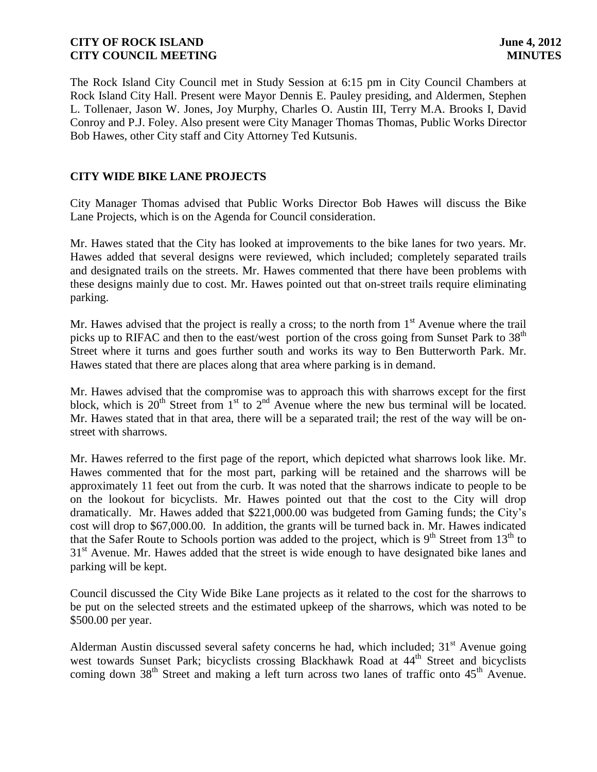The Rock Island City Council met in Study Session at 6:15 pm in City Council Chambers at Rock Island City Hall. Present were Mayor Dennis E. Pauley presiding, and Aldermen, Stephen L. Tollenaer, Jason W. Jones, Joy Murphy, Charles O. Austin III, Terry M.A. Brooks I, David Conroy and P.J. Foley. Also present were City Manager Thomas Thomas, Public Works Director Bob Hawes, other City staff and City Attorney Ted Kutsunis.

# **CITY WIDE BIKE LANE PROJECTS**

City Manager Thomas advised that Public Works Director Bob Hawes will discuss the Bike Lane Projects, which is on the Agenda for Council consideration.

Mr. Hawes stated that the City has looked at improvements to the bike lanes for two years. Mr. Hawes added that several designs were reviewed, which included; completely separated trails and designated trails on the streets. Mr. Hawes commented that there have been problems with these designs mainly due to cost. Mr. Hawes pointed out that on-street trails require eliminating parking.

Mr. Hawes advised that the project is really a cross; to the north from  $1<sup>st</sup>$  Avenue where the trail picks up to RIFAC and then to the east/west portion of the cross going from Sunset Park to 38<sup>th</sup> Street where it turns and goes further south and works its way to Ben Butterworth Park. Mr. Hawes stated that there are places along that area where parking is in demand.

Mr. Hawes advised that the compromise was to approach this with sharrows except for the first block, which is  $20^{th}$  Street from  $1^{st}$  to  $2^{nd}$  Avenue where the new bus terminal will be located. Mr. Hawes stated that in that area, there will be a separated trail; the rest of the way will be onstreet with sharrows.

Mr. Hawes referred to the first page of the report, which depicted what sharrows look like. Mr. Hawes commented that for the most part, parking will be retained and the sharrows will be approximately 11 feet out from the curb. It was noted that the sharrows indicate to people to be on the lookout for bicyclists. Mr. Hawes pointed out that the cost to the City will drop dramatically. Mr. Hawes added that \$221,000.00 was budgeted from Gaming funds; the City's cost will drop to \$67,000.00. In addition, the grants will be turned back in. Mr. Hawes indicated that the Safer Route to Schools portion was added to the project, which is  $9<sup>th</sup>$  Street from 13<sup>th</sup> to  $31<sup>st</sup>$  Avenue. Mr. Hawes added that the street is wide enough to have designated bike lanes and parking will be kept.

Council discussed the City Wide Bike Lane projects as it related to the cost for the sharrows to be put on the selected streets and the estimated upkeep of the sharrows, which was noted to be \$500.00 per year.

Alderman Austin discussed several safety concerns he had, which included;  $31<sup>st</sup>$  Avenue going west towards Sunset Park; bicyclists crossing Blackhawk Road at 44<sup>th</sup> Street and bicyclists coming down 38<sup>th</sup> Street and making a left turn across two lanes of traffic onto  $45<sup>th</sup>$  Avenue.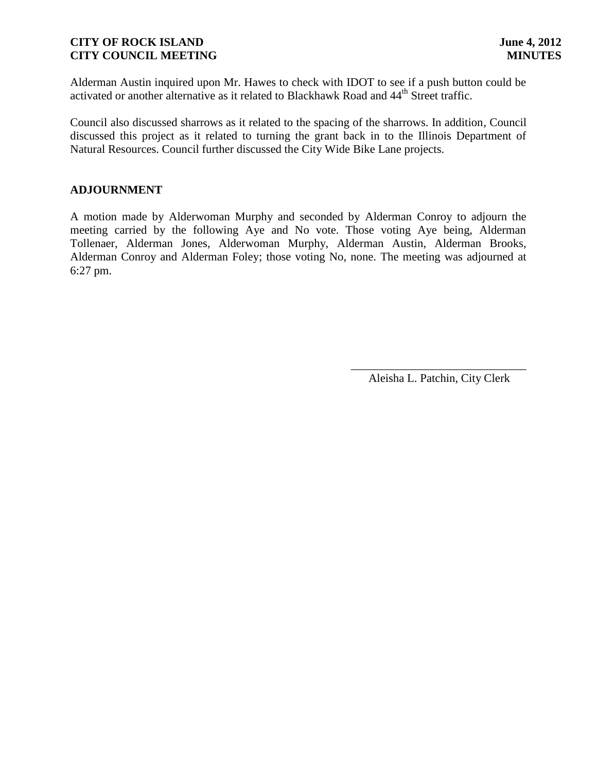Alderman Austin inquired upon Mr. Hawes to check with IDOT to see if a push button could be activated or another alternative as it related to Blackhawk Road and 44<sup>th</sup> Street traffic.

Council also discussed sharrows as it related to the spacing of the sharrows. In addition, Council discussed this project as it related to turning the grant back in to the Illinois Department of Natural Resources. Council further discussed the City Wide Bike Lane projects.

## **ADJOURNMENT**

A motion made by Alderwoman Murphy and seconded by Alderman Conroy to adjourn the meeting carried by the following Aye and No vote. Those voting Aye being, Alderman Tollenaer, Alderman Jones, Alderwoman Murphy, Alderman Austin, Alderman Brooks, Alderman Conroy and Alderman Foley; those voting No, none. The meeting was adjourned at 6:27 pm.

> \_\_\_\_\_\_\_\_\_\_\_\_\_\_\_\_\_\_\_\_\_\_\_\_\_\_\_\_\_\_ Aleisha L. Patchin, City Clerk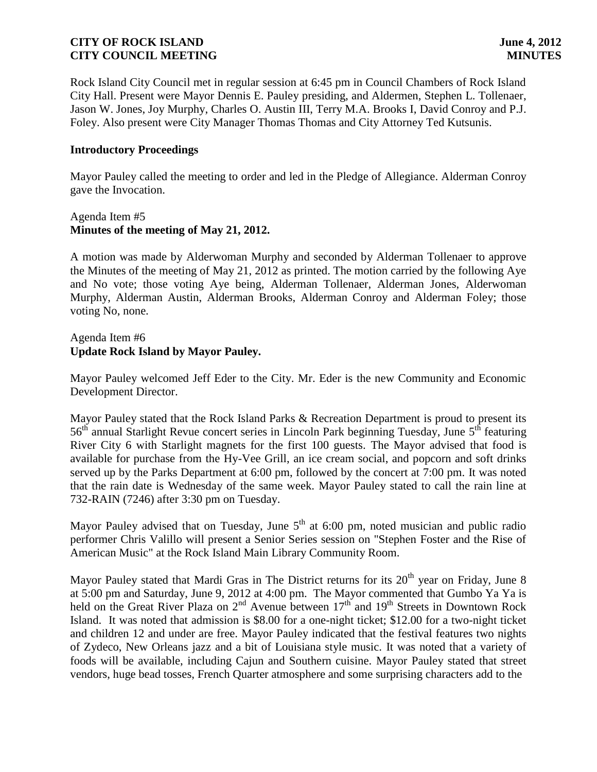Rock Island City Council met in regular session at 6:45 pm in Council Chambers of Rock Island City Hall. Present were Mayor Dennis E. Pauley presiding, and Aldermen, Stephen L. Tollenaer, Jason W. Jones, Joy Murphy, Charles O. Austin III, Terry M.A. Brooks I, David Conroy and P.J. Foley. Also present were City Manager Thomas Thomas and City Attorney Ted Kutsunis.

### **Introductory Proceedings**

Mayor Pauley called the meeting to order and led in the Pledge of Allegiance. Alderman Conroy gave the Invocation.

### Agenda Item #5 **Minutes of the meeting of May 21, 2012.**

A motion was made by Alderwoman Murphy and seconded by Alderman Tollenaer to approve the Minutes of the meeting of May 21, 2012 as printed. The motion carried by the following Aye and No vote; those voting Aye being, Alderman Tollenaer, Alderman Jones, Alderwoman Murphy, Alderman Austin, Alderman Brooks, Alderman Conroy and Alderman Foley; those voting No, none.

## Agenda Item #6 **Update Rock Island by Mayor Pauley.**

Mayor Pauley welcomed Jeff Eder to the City. Mr. Eder is the new Community and Economic Development Director.

Mayor Pauley stated that the Rock Island Parks & Recreation Department is proud to present its 56<sup>th</sup> annual Starlight Revue concert series in Lincoln Park beginning Tuesday, June 5<sup>th</sup> featuring River City 6 with Starlight magnets for the first 100 guests. The Mayor advised that food is available for purchase from the Hy-Vee Grill, an ice cream social, and popcorn and soft drinks served up by the Parks Department at 6:00 pm, followed by the concert at 7:00 pm. It was noted that the rain date is Wednesday of the same week. Mayor Pauley stated to call the rain line at 732-RAIN (7246) after 3:30 pm on Tuesday.

Mayor Pauley advised that on Tuesday, June  $5<sup>th</sup>$  at 6:00 pm, noted musician and public radio performer Chris Valillo will present a Senior Series session on "Stephen Foster and the Rise of American Music" at the Rock Island Main Library Community Room.

Mayor Pauley stated that Mardi Gras in The District returns for its  $20<sup>th</sup>$  year on Friday, June 8 at 5:00 pm and Saturday, June 9, 2012 at 4:00 pm. The Mayor commented that Gumbo Ya Ya is held on the Great River Plaza on  $2^{nd}$  Avenue between  $17^{th}$  and  $19^{th}$  Streets in Downtown Rock Island. It was noted that admission is \$8.00 for a one-night ticket; \$12.00 for a two-night ticket and children 12 and under are free. Mayor Pauley indicated that the festival features two nights of Zydeco, New Orleans jazz and a bit of Louisiana style music. It was noted that a variety of foods will be available, including Cajun and Southern cuisine. Mayor Pauley stated that street vendors, huge bead tosses, French Quarter atmosphere and some surprising characters add to the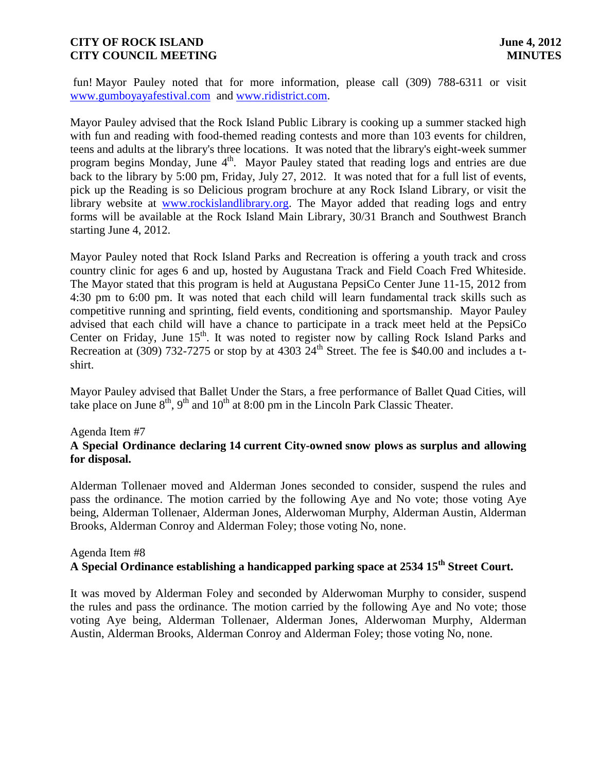fun! Mayor Pauley noted that for more information, please call (309) 788-6311 or visit [www.gumboyayafestival.com](http://www.gumboyayafestival.com/) and [www.ridistrict.com.](http://www.ridistrict.com/)

Mayor Pauley advised that the Rock Island Public Library is cooking up a summer stacked high with fun and reading with food-themed reading contests and more than 103 events for children, teens and adults at the library's three locations. It was noted that the library's eight-week summer program begins Monday, June 4<sup>th</sup>. Mayor Pauley stated that reading logs and entries are due back to the library by 5:00 pm, Friday, July 27, 2012. It was noted that for a full list of events, pick up the Reading is so Delicious program brochure at any Rock Island Library, or visit the library website at [www.rockislandlibrary.org.](http://www.rockislandlibrary.org/) The Mayor added that reading logs and entry forms will be available at the Rock Island Main Library, 30/31 Branch and Southwest Branch starting June 4, 2012.

Mayor Pauley noted that Rock Island Parks and Recreation is offering a youth track and cross country clinic for ages 6 and up, hosted by Augustana Track and Field Coach Fred Whiteside. The Mayor stated that this program is held at Augustana PepsiCo Center June 11-15, 2012 from 4:30 pm to 6:00 pm. It was noted that each child will learn fundamental track skills such as competitive running and sprinting, field events, conditioning and sportsmanship. Mayor Pauley advised that each child will have a chance to participate in a track meet held at the PepsiCo Center on Friday, June  $15<sup>th</sup>$ . It was noted to register now by calling Rock Island Parks and Recreation at (309) 732-7275 or stop by at 4303  $24<sup>th</sup>$  Street. The fee is \$40.00 and includes a tshirt.

Mayor Pauley advised that Ballet Under the Stars, a free performance of Ballet Quad Cities, will take place on June  $8<sup>th</sup>$ ,  $9<sup>th</sup>$  and  $10<sup>th</sup>$  at 8:00 pm in the Lincoln Park Classic Theater.

#### Agenda Item #7

## **A Special Ordinance declaring 14 current City-owned snow plows as surplus and allowing for disposal.**

Alderman Tollenaer moved and Alderman Jones seconded to consider, suspend the rules and pass the ordinance. The motion carried by the following Aye and No vote; those voting Aye being, Alderman Tollenaer, Alderman Jones, Alderwoman Murphy, Alderman Austin, Alderman Brooks, Alderman Conroy and Alderman Foley; those voting No, none.

## Agenda Item #8 **A Special Ordinance establishing a handicapped parking space at 2534 15 th Street Court.**

It was moved by Alderman Foley and seconded by Alderwoman Murphy to consider, suspend the rules and pass the ordinance. The motion carried by the following Aye and No vote; those voting Aye being, Alderman Tollenaer, Alderman Jones, Alderwoman Murphy, Alderman Austin, Alderman Brooks, Alderman Conroy and Alderman Foley; those voting No, none.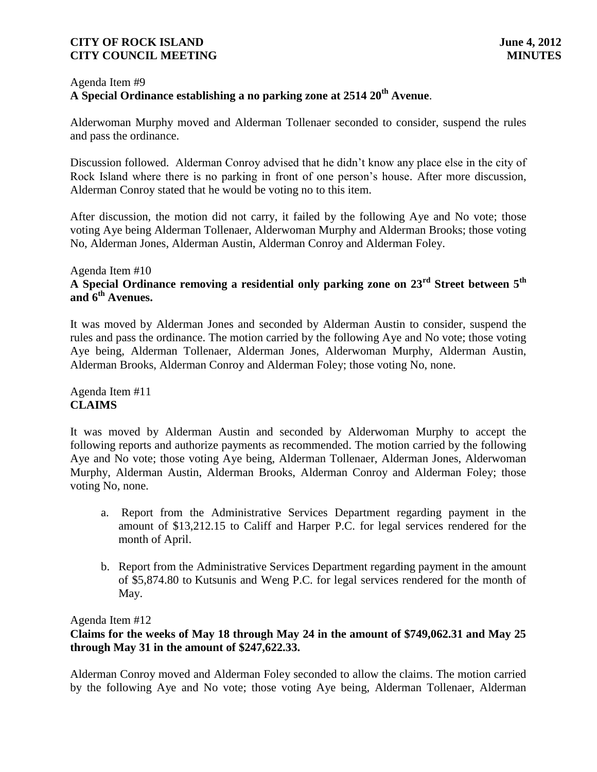# Agenda Item #9 **A Special Ordinance establishing a no parking zone at 2514 20th Avenue**.

Alderwoman Murphy moved and Alderman Tollenaer seconded to consider, suspend the rules and pass the ordinance.

Discussion followed. Alderman Conroy advised that he didn't know any place else in the city of Rock Island where there is no parking in front of one person's house. After more discussion, Alderman Conroy stated that he would be voting no to this item.

After discussion, the motion did not carry, it failed by the following Aye and No vote; those voting Aye being Alderman Tollenaer, Alderwoman Murphy and Alderman Brooks; those voting No, Alderman Jones, Alderman Austin, Alderman Conroy and Alderman Foley.

## Agenda Item #10 **A Special Ordinance removing a residential only parking zone on 23rd Street between 5th and 6th Avenues.**

It was moved by Alderman Jones and seconded by Alderman Austin to consider, suspend the rules and pass the ordinance. The motion carried by the following Aye and No vote; those voting Aye being, Alderman Tollenaer, Alderman Jones, Alderwoman Murphy, Alderman Austin, Alderman Brooks, Alderman Conroy and Alderman Foley; those voting No, none.

Agenda Item #11 **CLAIMS**

It was moved by Alderman Austin and seconded by Alderwoman Murphy to accept the following reports and authorize payments as recommended. The motion carried by the following Aye and No vote; those voting Aye being, Alderman Tollenaer, Alderman Jones, Alderwoman Murphy, Alderman Austin, Alderman Brooks, Alderman Conroy and Alderman Foley; those voting No, none.

- a. Report from the Administrative Services Department regarding payment in the amount of \$13,212.15 to Califf and Harper P.C. for legal services rendered for the month of April.
- b. Report from the Administrative Services Department regarding payment in the amount of \$5,874.80 to Kutsunis and Weng P.C. for legal services rendered for the month of May.

Agenda Item #12

**Claims for the weeks of May 18 through May 24 in the amount of \$749,062.31 and May 25 through May 31 in the amount of \$247,622.33.** 

Alderman Conroy moved and Alderman Foley seconded to allow the claims. The motion carried by the following Aye and No vote; those voting Aye being, Alderman Tollenaer, Alderman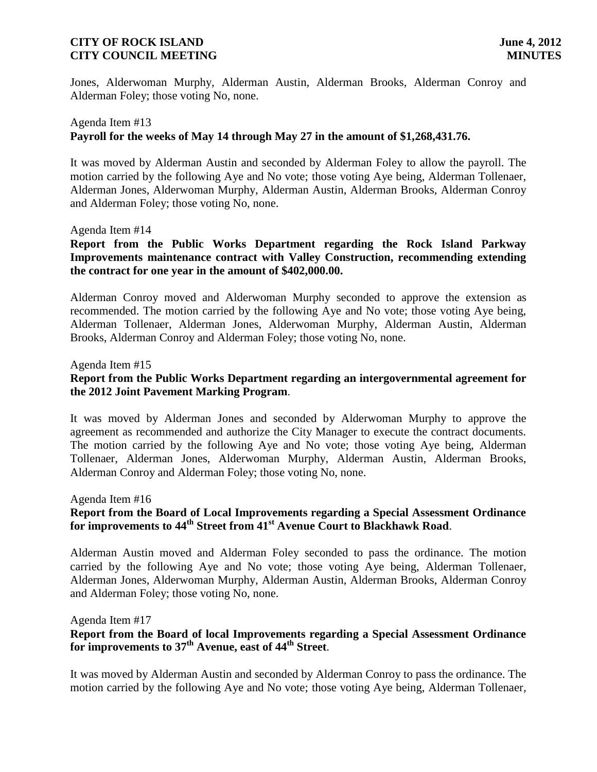Jones, Alderwoman Murphy, Alderman Austin, Alderman Brooks, Alderman Conroy and Alderman Foley; those voting No, none.

# Agenda Item #13 **Payroll for the weeks of May 14 through May 27 in the amount of \$1,268,431.76.**

It was moved by Alderman Austin and seconded by Alderman Foley to allow the payroll. The motion carried by the following Aye and No vote; those voting Aye being, Alderman Tollenaer, Alderman Jones, Alderwoman Murphy, Alderman Austin, Alderman Brooks, Alderman Conroy and Alderman Foley; those voting No, none.

### Agenda Item #14

**Report from the Public Works Department regarding the Rock Island Parkway Improvements maintenance contract with Valley Construction, recommending extending the contract for one year in the amount of \$402,000.00.**

Alderman Conroy moved and Alderwoman Murphy seconded to approve the extension as recommended. The motion carried by the following Aye and No vote; those voting Aye being, Alderman Tollenaer, Alderman Jones, Alderwoman Murphy, Alderman Austin, Alderman Brooks, Alderman Conroy and Alderman Foley; those voting No, none.

### Agenda Item #15

## **Report from the Public Works Department regarding an intergovernmental agreement for the 2012 Joint Pavement Marking Program**.

It was moved by Alderman Jones and seconded by Alderwoman Murphy to approve the agreement as recommended and authorize the City Manager to execute the contract documents. The motion carried by the following Aye and No vote; those voting Aye being, Alderman Tollenaer, Alderman Jones, Alderwoman Murphy, Alderman Austin, Alderman Brooks, Alderman Conroy and Alderman Foley; those voting No, none.

Agenda Item #16

## **Report from the Board of Local Improvements regarding a Special Assessment Ordinance for improvements to 44th Street from 41st Avenue Court to Blackhawk Road**.

Alderman Austin moved and Alderman Foley seconded to pass the ordinance. The motion carried by the following Aye and No vote; those voting Aye being, Alderman Tollenaer, Alderman Jones, Alderwoman Murphy, Alderman Austin, Alderman Brooks, Alderman Conroy and Alderman Foley; those voting No, none.

Agenda Item #17

# **Report from the Board of local Improvements regarding a Special Assessment Ordinance for improvements to 37th Avenue, east of 44th Street**.

It was moved by Alderman Austin and seconded by Alderman Conroy to pass the ordinance. The motion carried by the following Aye and No vote; those voting Aye being, Alderman Tollenaer,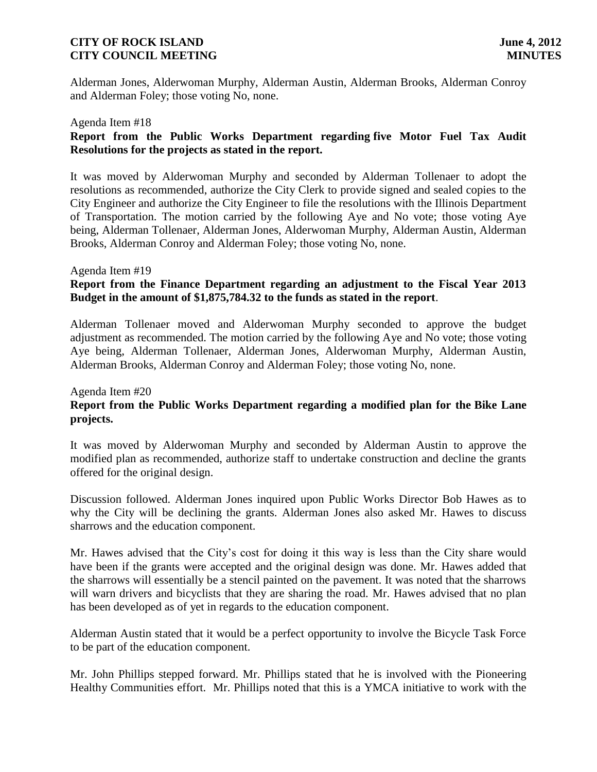Alderman Jones, Alderwoman Murphy, Alderman Austin, Alderman Brooks, Alderman Conroy and Alderman Foley; those voting No, none.

#### Agenda Item #18

# **Report from the Public Works Department regarding five Motor Fuel Tax Audit Resolutions for the projects as stated in the report.**

It was moved by Alderwoman Murphy and seconded by Alderman Tollenaer to adopt the resolutions as recommended, authorize the City Clerk to provide signed and sealed copies to the City Engineer and authorize the City Engineer to file the resolutions with the Illinois Department of Transportation. The motion carried by the following Aye and No vote; those voting Aye being, Alderman Tollenaer, Alderman Jones, Alderwoman Murphy, Alderman Austin, Alderman Brooks, Alderman Conroy and Alderman Foley; those voting No, none.

### Agenda Item #19

# **Report from the Finance Department regarding an adjustment to the Fiscal Year 2013 Budget in the amount of \$1,875,784.32 to the funds as stated in the report**.

Alderman Tollenaer moved and Alderwoman Murphy seconded to approve the budget adjustment as recommended. The motion carried by the following Aye and No vote; those voting Aye being, Alderman Tollenaer, Alderman Jones, Alderwoman Murphy, Alderman Austin, Alderman Brooks, Alderman Conroy and Alderman Foley; those voting No, none.

## Agenda Item #20 **Report from the Public Works Department regarding a modified plan for the Bike Lane projects.**

It was moved by Alderwoman Murphy and seconded by Alderman Austin to approve the modified plan as recommended, authorize staff to undertake construction and decline the grants offered for the original design.

Discussion followed. Alderman Jones inquired upon Public Works Director Bob Hawes as to why the City will be declining the grants. Alderman Jones also asked Mr. Hawes to discuss sharrows and the education component.

Mr. Hawes advised that the City's cost for doing it this way is less than the City share would have been if the grants were accepted and the original design was done. Mr. Hawes added that the sharrows will essentially be a stencil painted on the pavement. It was noted that the sharrows will warn drivers and bicyclists that they are sharing the road. Mr. Hawes advised that no plan has been developed as of yet in regards to the education component.

Alderman Austin stated that it would be a perfect opportunity to involve the Bicycle Task Force to be part of the education component.

Mr. John Phillips stepped forward. Mr. Phillips stated that he is involved with the Pioneering Healthy Communities effort. Mr. Phillips noted that this is a YMCA initiative to work with the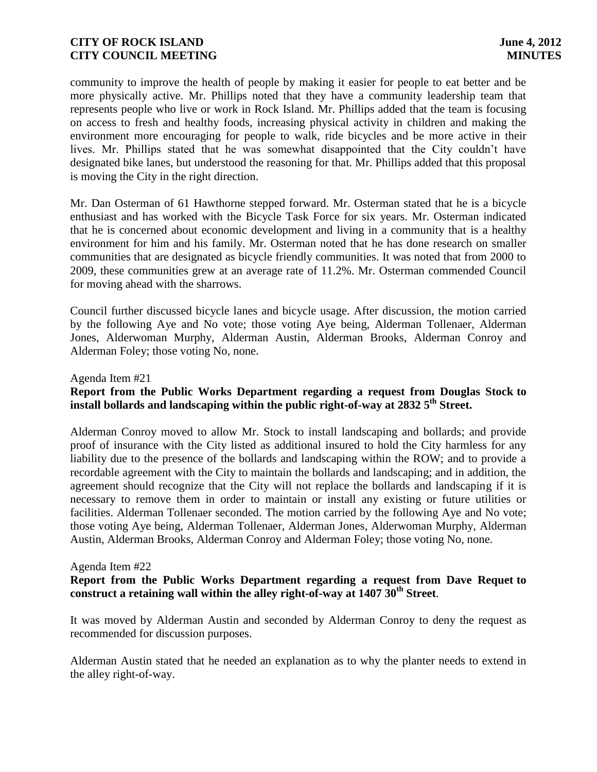community to improve the health of people by making it easier for people to eat better and be more physically active. Mr. Phillips noted that they have a community leadership team that represents people who live or work in Rock Island. Mr. Phillips added that the team is focusing on access to fresh and healthy foods, increasing physical activity in children and making the environment more encouraging for people to walk, ride bicycles and be more active in their lives. Mr. Phillips stated that he was somewhat disappointed that the City couldn't have designated bike lanes, but understood the reasoning for that. Mr. Phillips added that this proposal is moving the City in the right direction.

Mr. Dan Osterman of 61 Hawthorne stepped forward. Mr. Osterman stated that he is a bicycle enthusiast and has worked with the Bicycle Task Force for six years. Mr. Osterman indicated that he is concerned about economic development and living in a community that is a healthy environment for him and his family. Mr. Osterman noted that he has done research on smaller communities that are designated as bicycle friendly communities. It was noted that from 2000 to 2009, these communities grew at an average rate of 11.2%. Mr. Osterman commended Council for moving ahead with the sharrows.

Council further discussed bicycle lanes and bicycle usage. After discussion, the motion carried by the following Aye and No vote; those voting Aye being, Alderman Tollenaer, Alderman Jones, Alderwoman Murphy, Alderman Austin, Alderman Brooks, Alderman Conroy and Alderman Foley; those voting No, none.

### Agenda Item #21

# **Report from the Public Works Department regarding a request from Douglas Stock to install bollards and landscaping within the public right-of-way at 2832 5th Street.**

Alderman Conroy moved to allow Mr. Stock to install landscaping and bollards; and provide proof of insurance with the City listed as additional insured to hold the City harmless for any liability due to the presence of the bollards and landscaping within the ROW; and to provide a recordable agreement with the City to maintain the bollards and landscaping; and in addition, the agreement should recognize that the City will not replace the bollards and landscaping if it is necessary to remove them in order to maintain or install any existing or future utilities or facilities. Alderman Tollenaer seconded. The motion carried by the following Aye and No vote; those voting Aye being, Alderman Tollenaer, Alderman Jones, Alderwoman Murphy, Alderman Austin, Alderman Brooks, Alderman Conroy and Alderman Foley; those voting No, none.

#### Agenda Item #22

## **Report from the Public Works Department regarding a request from Dave Requet to construct a retaining wall within the alley right-of-way at 1407 30th Street**.

It was moved by Alderman Austin and seconded by Alderman Conroy to deny the request as recommended for discussion purposes.

Alderman Austin stated that he needed an explanation as to why the planter needs to extend in the alley right-of-way.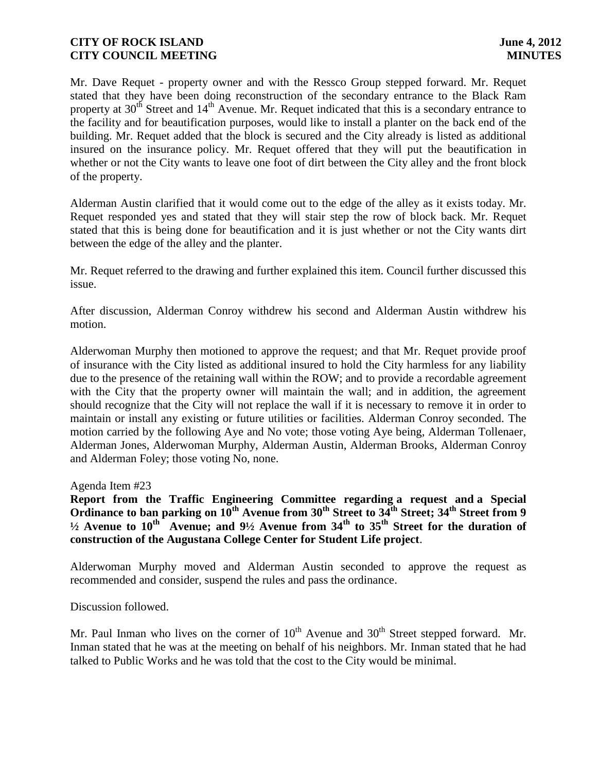Mr. Dave Requet - property owner and with the Ressco Group stepped forward. Mr. Requet stated that they have been doing reconstruction of the secondary entrance to the Black Ram property at  $30<sup>th</sup>$  Street and  $14<sup>th</sup>$  Avenue. Mr. Requet indicated that this is a secondary entrance to the facility and for beautification purposes, would like to install a planter on the back end of the building. Mr. Requet added that the block is secured and the City already is listed as additional insured on the insurance policy. Mr. Requet offered that they will put the beautification in whether or not the City wants to leave one foot of dirt between the City alley and the front block of the property.

Alderman Austin clarified that it would come out to the edge of the alley as it exists today. Mr. Requet responded yes and stated that they will stair step the row of block back. Mr. Requet stated that this is being done for beautification and it is just whether or not the City wants dirt between the edge of the alley and the planter.

Mr. Requet referred to the drawing and further explained this item. Council further discussed this issue.

After discussion, Alderman Conroy withdrew his second and Alderman Austin withdrew his motion.

Alderwoman Murphy then motioned to approve the request; and that Mr. Requet provide proof of insurance with the City listed as additional insured to hold the City harmless for any liability due to the presence of the retaining wall within the ROW; and to provide a recordable agreement with the City that the property owner will maintain the wall; and in addition, the agreement should recognize that the City will not replace the wall if it is necessary to remove it in order to maintain or install any existing or future utilities or facilities. Alderman Conroy seconded. The motion carried by the following Aye and No vote; those voting Aye being, Alderman Tollenaer, Alderman Jones, Alderwoman Murphy, Alderman Austin, Alderman Brooks, Alderman Conroy and Alderman Foley; those voting No, none.

Agenda Item #23

**Report from the Traffic Engineering Committee regarding a request and a Special Ordinance to ban parking on 10th Avenue from 30th Street to 34th Street; 34th Street from 9 ½ Avenue to 10th Avenue; and 9½ Avenue from 34th to 35th Street for the duration of construction of the Augustana College Center for Student Life project**.

Alderwoman Murphy moved and Alderman Austin seconded to approve the request as recommended and consider, suspend the rules and pass the ordinance.

Discussion followed.

Mr. Paul Inman who lives on the corner of  $10<sup>th</sup>$  Avenue and  $30<sup>th</sup>$  Street stepped forward. Mr. Inman stated that he was at the meeting on behalf of his neighbors. Mr. Inman stated that he had talked to Public Works and he was told that the cost to the City would be minimal.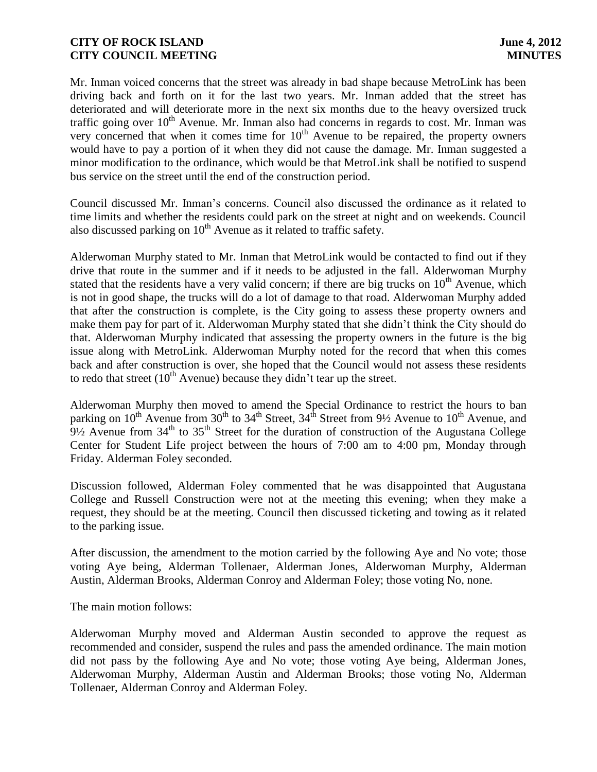Mr. Inman voiced concerns that the street was already in bad shape because MetroLink has been driving back and forth on it for the last two years. Mr. Inman added that the street has deteriorated and will deteriorate more in the next six months due to the heavy oversized truck traffic going over  $10<sup>th</sup>$  Avenue. Mr. Inman also had concerns in regards to cost. Mr. Inman was very concerned that when it comes time for  $10<sup>th</sup>$  Avenue to be repaired, the property owners would have to pay a portion of it when they did not cause the damage. Mr. Inman suggested a minor modification to the ordinance, which would be that MetroLink shall be notified to suspend bus service on the street until the end of the construction period.

Council discussed Mr. Inman's concerns. Council also discussed the ordinance as it related to time limits and whether the residents could park on the street at night and on weekends. Council also discussed parking on  $10<sup>th</sup>$  Avenue as it related to traffic safety.

Alderwoman Murphy stated to Mr. Inman that MetroLink would be contacted to find out if they drive that route in the summer and if it needs to be adjusted in the fall. Alderwoman Murphy stated that the residents have a very valid concern; if there are big trucks on  $10<sup>th</sup>$  Avenue, which is not in good shape, the trucks will do a lot of damage to that road. Alderwoman Murphy added that after the construction is complete, is the City going to assess these property owners and make them pay for part of it. Alderwoman Murphy stated that she didn't think the City should do that. Alderwoman Murphy indicated that assessing the property owners in the future is the big issue along with MetroLink. Alderwoman Murphy noted for the record that when this comes back and after construction is over, she hoped that the Council would not assess these residents to redo that street  $(10<sup>th</sup>$  Avenue) because they didn't tear up the street.

Alderwoman Murphy then moved to amend the Special Ordinance to restrict the hours to ban parking on  $10^{th}$  Avenue from  $30^{th}$  to  $34^{th}$  Street,  $34^{th}$  Street from  $9\frac{1}{2}$  Avenue to  $10^{th}$  Avenue, and  $9\frac{1}{2}$  Avenue from  $34^{\text{th}}$  to  $35^{\text{th}}$  Street for the duration of construction of the Augustana College Center for Student Life project between the hours of 7:00 am to 4:00 pm, Monday through Friday. Alderman Foley seconded.

Discussion followed, Alderman Foley commented that he was disappointed that Augustana College and Russell Construction were not at the meeting this evening; when they make a request, they should be at the meeting. Council then discussed ticketing and towing as it related to the parking issue.

After discussion, the amendment to the motion carried by the following Aye and No vote; those voting Aye being, Alderman Tollenaer, Alderman Jones, Alderwoman Murphy, Alderman Austin, Alderman Brooks, Alderman Conroy and Alderman Foley; those voting No, none.

The main motion follows:

Alderwoman Murphy moved and Alderman Austin seconded to approve the request as recommended and consider, suspend the rules and pass the amended ordinance. The main motion did not pass by the following Aye and No vote; those voting Aye being, Alderman Jones, Alderwoman Murphy, Alderman Austin and Alderman Brooks; those voting No, Alderman Tollenaer, Alderman Conroy and Alderman Foley.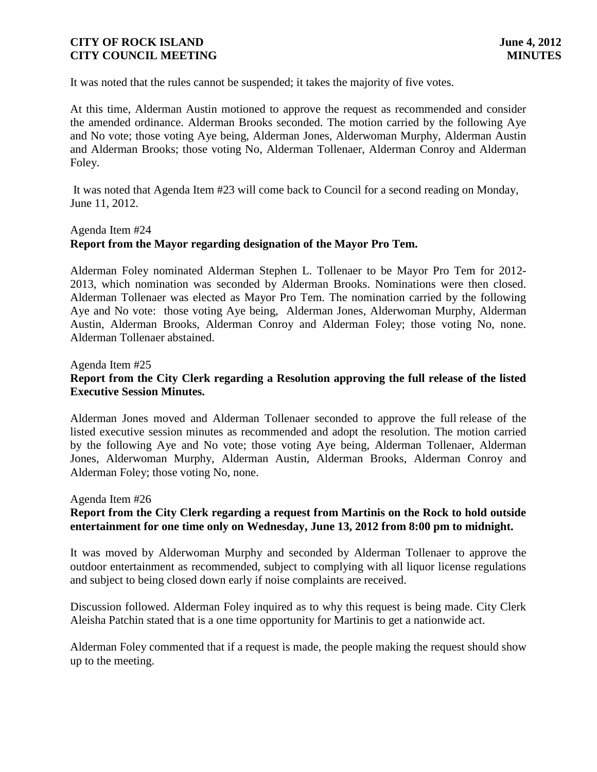It was noted that the rules cannot be suspended; it takes the majority of five votes.

At this time, Alderman Austin motioned to approve the request as recommended and consider the amended ordinance. Alderman Brooks seconded. The motion carried by the following Aye and No vote; those voting Aye being, Alderman Jones, Alderwoman Murphy, Alderman Austin and Alderman Brooks; those voting No, Alderman Tollenaer, Alderman Conroy and Alderman Foley.

It was noted that Agenda Item #23 will come back to Council for a second reading on Monday, June 11, 2012.

#### Agenda Item #24

## **Report from the Mayor regarding designation of the Mayor Pro Tem.**

Alderman Foley nominated Alderman Stephen L. Tollenaer to be Mayor Pro Tem for 2012- 2013, which nomination was seconded by Alderman Brooks. Nominations were then closed. Alderman Tollenaer was elected as Mayor Pro Tem. The nomination carried by the following Aye and No vote: those voting Aye being, Alderman Jones, Alderwoman Murphy, Alderman Austin, Alderman Brooks, Alderman Conroy and Alderman Foley; those voting No, none. Alderman Tollenaer abstained.

### Agenda Item #25

## **Report from the City Clerk regarding a Resolution approving the full release of the listed Executive Session Minutes.**

Alderman Jones moved and Alderman Tollenaer seconded to approve the full release of the listed executive session minutes as recommended and adopt the resolution. The motion carried by the following Aye and No vote; those voting Aye being, Alderman Tollenaer, Alderman Jones, Alderwoman Murphy, Alderman Austin, Alderman Brooks, Alderman Conroy and Alderman Foley; those voting No, none.

#### Agenda Item #26

## **Report from the City Clerk regarding a request from Martinis on the Rock to hold outside entertainment for one time only on Wednesday, June 13, 2012 from 8:00 pm to midnight.**

It was moved by Alderwoman Murphy and seconded by Alderman Tollenaer to approve the outdoor entertainment as recommended, subject to complying with all liquor license regulations and subject to being closed down early if noise complaints are received.

Discussion followed. Alderman Foley inquired as to why this request is being made. City Clerk Aleisha Patchin stated that is a one time opportunity for Martinis to get a nationwide act.

Alderman Foley commented that if a request is made, the people making the request should show up to the meeting.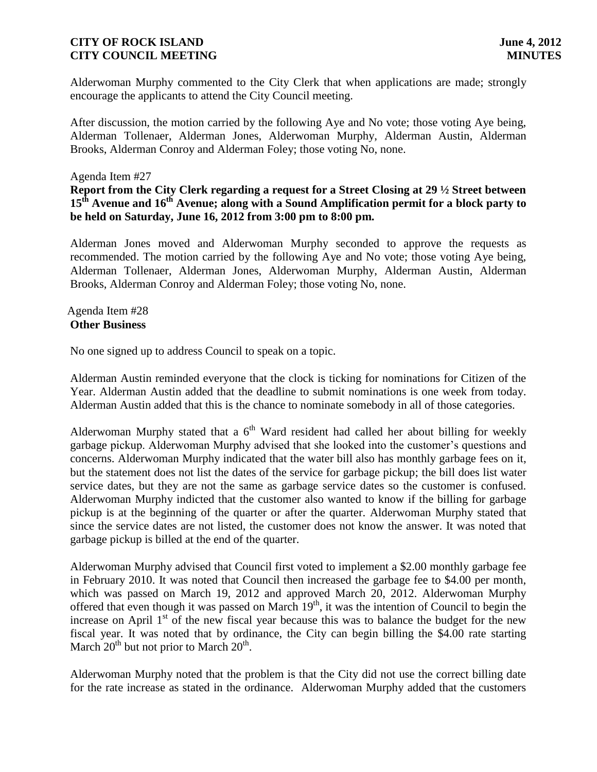Alderwoman Murphy commented to the City Clerk that when applications are made; strongly encourage the applicants to attend the City Council meeting.

After discussion, the motion carried by the following Aye and No vote; those voting Aye being, Alderman Tollenaer, Alderman Jones, Alderwoman Murphy, Alderman Austin, Alderman Brooks, Alderman Conroy and Alderman Foley; those voting No, none.

## Agenda Item #27

**Report from the City Clerk regarding a request for a Street Closing at 29 ½ Street between 15th Avenue and 16th Avenue; along with a Sound Amplification permit for a block party to be held on Saturday, June 16, 2012 from 3:00 pm to 8:00 pm.**

Alderman Jones moved and Alderwoman Murphy seconded to approve the requests as recommended. The motion carried by the following Aye and No vote; those voting Aye being, Alderman Tollenaer, Alderman Jones, Alderwoman Murphy, Alderman Austin, Alderman Brooks, Alderman Conroy and Alderman Foley; those voting No, none.

#### Agenda Item #28 **Other Business**

No one signed up to address Council to speak on a topic.

Alderman Austin reminded everyone that the clock is ticking for nominations for Citizen of the Year. Alderman Austin added that the deadline to submit nominations is one week from today. Alderman Austin added that this is the chance to nominate somebody in all of those categories.

Alderwoman Murphy stated that a  $6<sup>th</sup>$  Ward resident had called her about billing for weekly garbage pickup. Alderwoman Murphy advised that she looked into the customer's questions and concerns. Alderwoman Murphy indicated that the water bill also has monthly garbage fees on it, but the statement does not list the dates of the service for garbage pickup; the bill does list water service dates, but they are not the same as garbage service dates so the customer is confused. Alderwoman Murphy indicted that the customer also wanted to know if the billing for garbage pickup is at the beginning of the quarter or after the quarter. Alderwoman Murphy stated that since the service dates are not listed, the customer does not know the answer. It was noted that garbage pickup is billed at the end of the quarter.

Alderwoman Murphy advised that Council first voted to implement a \$2.00 monthly garbage fee in February 2010. It was noted that Council then increased the garbage fee to \$4.00 per month, which was passed on March 19, 2012 and approved March 20, 2012. Alderwoman Murphy offered that even though it was passed on March  $19<sup>th</sup>$ , it was the intention of Council to begin the increase on April  $1<sup>st</sup>$  of the new fiscal year because this was to balance the budget for the new fiscal year. It was noted that by ordinance, the City can begin billing the \$4.00 rate starting March  $20^{th}$  but not prior to March  $20^{th}$ .

Alderwoman Murphy noted that the problem is that the City did not use the correct billing date for the rate increase as stated in the ordinance. Alderwoman Murphy added that the customers